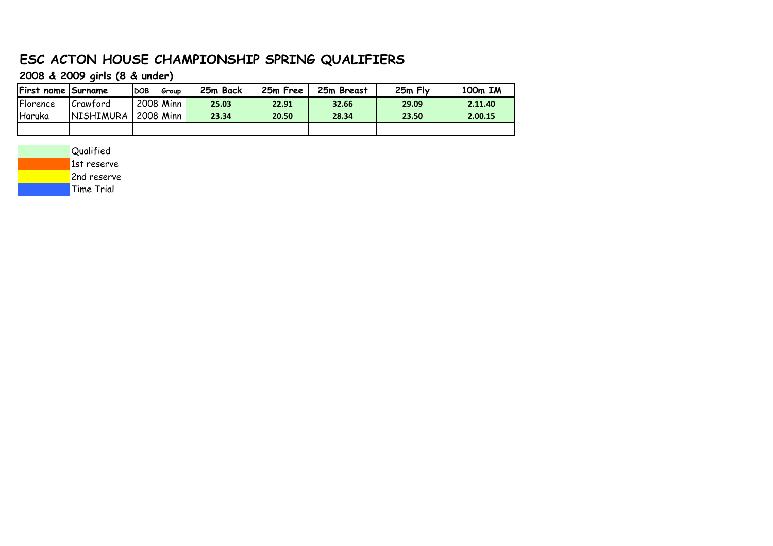# **ESC ACTON HOUSE CHAMPIONSHIP SPRING QUALIFIERS**

**2008 & 2009 girls (8 & under)**

| <b>First name Surname</b> |                  | <b>DOB</b> | l Group   | 25m Back | 25m Free | 25m Breast | 25m Fly | 100m IM |
|---------------------------|------------------|------------|-----------|----------|----------|------------|---------|---------|
| Florence                  | Crawford         |            | 2008 Minn | 25.03    | 22.91    | 32.66      | 29.09   | 2.11.40 |
| Haruka                    | <b>NISHIMURA</b> |            | 2008 Minn | 23.34    | 20.50    | 28.34      | 23.50   | 2.00.15 |
|                           |                  |            |           |          |          |            |         |         |

Qualified 1st reserve 2nd reserve Time Trial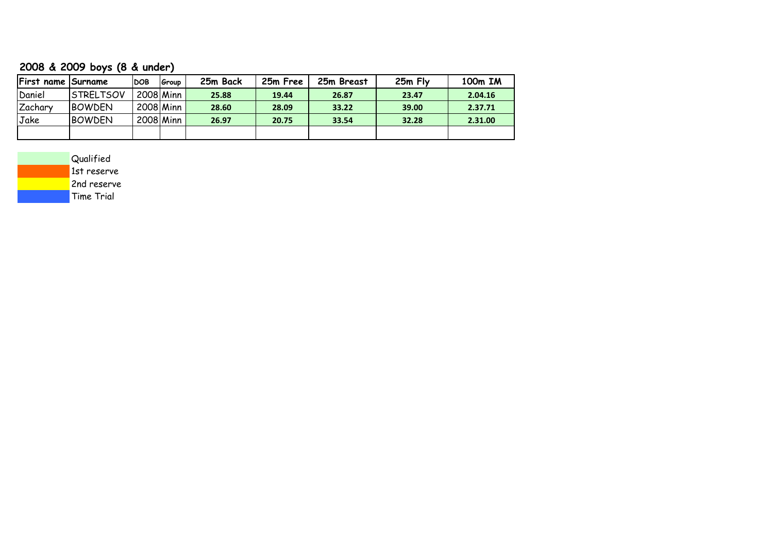### **2008 & 2009 boys (8 & under)**

| First name Surname |                  | <b>DOB</b> | Group     | 25m Back | 25m Free | 25m Breast | 25m Fly | 100m IM |
|--------------------|------------------|------------|-----------|----------|----------|------------|---------|---------|
| Daniel             | <b>STRELTSOV</b> |            | 2008 Minn | 25.88    | 19.44    | 26.87      | 23.47   | 2.04.16 |
| Zachary            | <b>BOWDEN</b>    |            | 2008 Minn | 28.60    | 28.09    | 33.22      | 39.00   | 2.37.71 |
| Jake               | <b>BOWDEN</b>    |            | 2008 Minn | 26.97    | 20.75    | 33.54      | 32.28   | 2.31.00 |
|                    |                  |            |           |          |          |            |         |         |

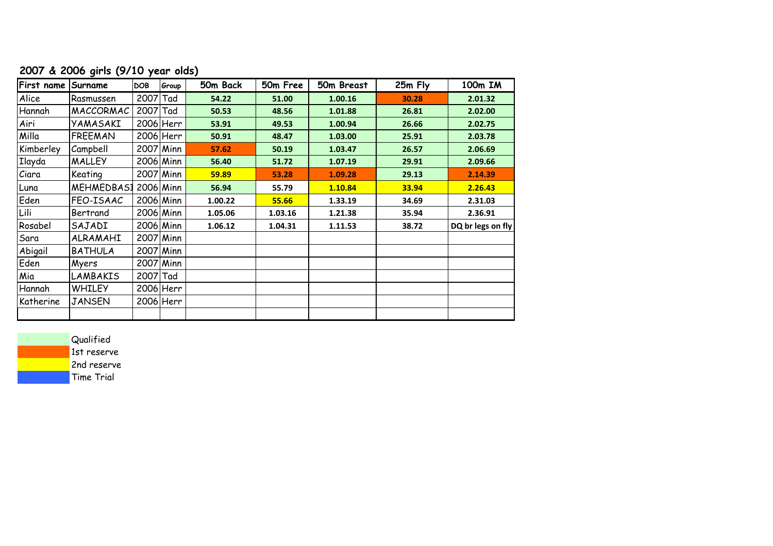## **2007 & 2006 girls (9/10 year olds)**

| First name   | Surname        | <b>DOB</b> | Group       | 50m Back | 50m Free | 50m Breast | 25m Fly | 100m IM           |
|--------------|----------------|------------|-------------|----------|----------|------------|---------|-------------------|
| Alice        | Rasmussen      | 2007 Tad   |             | 54.22    | 51.00    | 1.00.16    | 30.28   | 2.01.32           |
| Hannah       | MACCORMAC      | 2007 Tad   |             | 50.53    | 48.56    | 1.01.88    | 26.81   | 2.02.00           |
| Airi         | YAMASAKI       |            | $2006$ Herr | 53.91    | 49.53    | 1.00.94    | 26.66   | 2.02.75           |
| Milla        | <b>FREEMAN</b> |            | $2006$ Herr | 50.91    | 48.47    | 1.03.00    | 25.91   | 2.03.78           |
| Kimberley    | Campbell       |            | 2007 Minn   | 57.62    | 50.19    | 1.03.47    | 26.57   | 2.06.69           |
| Ilayda       | <b>MALLEY</b>  |            | $2006$ Minn | 56.40    | 51.72    | 1.07.19    | 29.91   | 2.09.66           |
| <i>Ciara</i> | Keating        |            | 2007 Minn   | 59.89    | 53.28    | 1.09.28    | 29.13   | 2.14.39           |
| Luna         | MEHMEDBAS1     |            | $2006$ Minn | 56.94    | 55.79    | 1.10.84    | 33.94   | 2.26.43           |
| Eden         | FEO-ISAAC      |            | $2006$ Minn | 1.00.22  | 55.66    | 1.33.19    | 34.69   | 2.31.03           |
| Lili         | Bertrand       |            | $2006$ Minn | 1.05.06  | 1.03.16  | 1.21.38    | 35.94   | 2.36.91           |
| Rosabel      | SAJADI         |            | $2006$ Minn | 1.06.12  | 1.04.31  | 1.11.53    | 38.72   | DQ br legs on fly |
| Sara         | ALRAMAHI       |            | 2007 Minn   |          |          |            |         |                   |
| Abigail      | <b>BATHULA</b> |            | 2007 Minn   |          |          |            |         |                   |
| Eden         | Myers          |            | 2007 Minn   |          |          |            |         |                   |
| Mia          | LAMBAKIS       | $2007$ Tad |             |          |          |            |         |                   |
| Hannah       | <b>WHILEY</b>  |            | $2006$ Herr |          |          |            |         |                   |
| Katherine    | <b>JANSEN</b>  |            | $2006$ Herr |          |          |            |         |                   |
|              |                |            |             |          |          |            |         |                   |

**Qualified** 

1st reserve

2nd reserve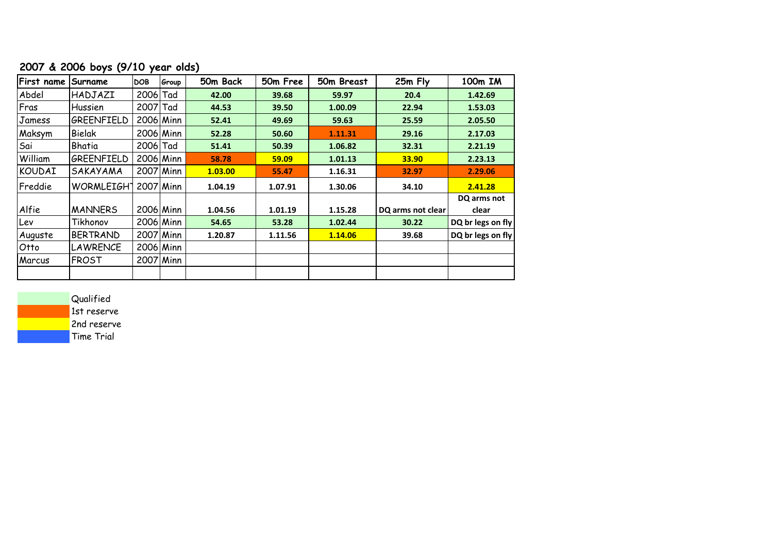### **2007 & 2006 boys (9/10 year olds)**

| First name | Surname           | <b>DOB</b> | Group       | 50m Back | 50m Free | 50m Breast | 25m Fly           | 100m IM              |
|------------|-------------------|------------|-------------|----------|----------|------------|-------------------|----------------------|
| Abdel      | HADJAZI           | 2006 Tad   |             | 42.00    | 39.68    | 59.97      | 20.4              | 1.42.69              |
| Fras       | Hussien           | 2007 Tad   |             | 44.53    | 39.50    | 1.00.09    | 22.94             | 1.53.03              |
| Jamess     | GREENFIELD        | 2006 Minn  |             | 52.41    | 49.69    | 59.63      | 25.59             | 2.05.50              |
| Maksym     | Bielak            |            | 2006 Minn   | 52.28    | 50.60    | 1.11.31    | 29.16             | 2.17.03              |
| Sai        | Bhatia            | 2006 Tad   |             | 51.41    | 50.39    | 1.06.82    | 32.31             | 2.21.19              |
| William    | GREENFIELD        |            | $2006$ Minn | 58.78    | 59.09    | 1.01.13    | 33.90             | 2.23.13              |
| KOUDAI     | SAKAYAMA          |            | 2007 Minn   | 1.03.00  | 55.47    | 1.16.31    | 32.97             | 2.29.06              |
| Freddie    | <b>WORMLEIGHT</b> | 2007 Minn  |             | 1.04.19  | 1.07.91  | 1.30.06    | 34.10             | 2.41.28              |
| Alfie      | <b>MANNERS</b>    |            | 2006 Minn   | 1.04.56  | 1.01.19  | 1.15.28    | DQ arms not clear | DQ arms not<br>clear |
| Lev        | Tikhonov          |            | 2006 Minn   | 54.65    | 53.28    | 1.02.44    | 30.22             | DQ br legs on fly    |
| Auguste    | <b>BERTRAND</b>   |            | 2007 Minn   | 1.20.87  | 1.11.56  | 1.14.06    | 39.68             | DQ br legs on fly    |
| Otto       | <b>LAWRENCE</b>   |            | $2006$ Minn |          |          |            |                   |                      |
| Marcus     | <b>FROST</b>      |            | 2007 Minn   |          |          |            |                   |                      |
|            |                   |            |             |          |          |            |                   |                      |

Qualified

1st reserve

2nd reserve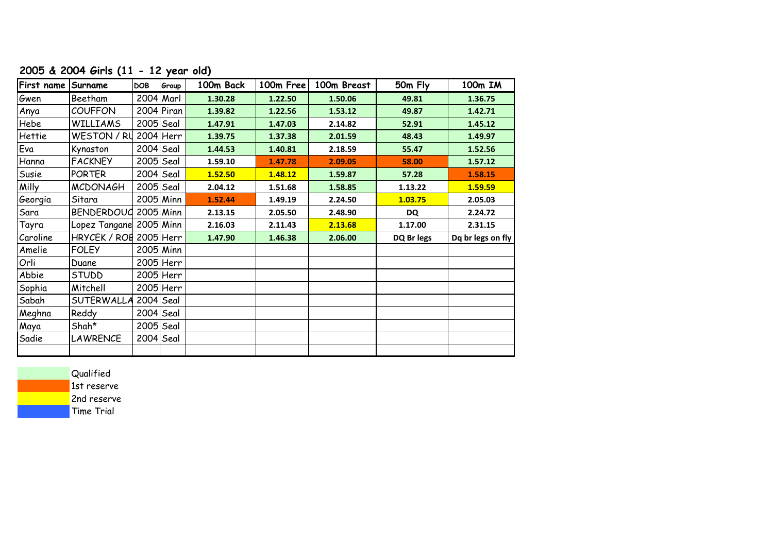## **2005 & 2004 Girls (11 - 12 year old)**

| First name Surname |                         | <b>DOB</b>  | Group        | 100m Back | 100m Free | 100m Breast | 50m Fly    | 100m IM           |
|--------------------|-------------------------|-------------|--------------|-----------|-----------|-------------|------------|-------------------|
| Gwen               | Beetham                 |             | $2004$ Marl  | 1.30.28   | 1.22.50   | 1.50.06     | 49.81      | 1.36.75           |
| Anya               | <b>COUFFON</b>          |             | $2004$ Piran | 1.39.82   | 1.22.56   | 1.53.12     | 49.87      | 1.42.71           |
| Hebe               | <b>WILLIAMS</b>         |             | $2005$ Seal  | 1.47.91   | 1.47.03   | 2.14.82     | 52.91      | 1.45.12           |
| Hettie             | WESTON / RU             |             | $2004$ Herr  | 1.39.75   | 1.37.38   | 2.01.59     | 48.43      | 1.49.97           |
| Eva                | Kynaston                | $2004$ Seal |              | 1.44.53   | 1.40.81   | 2.18.59     | 55.47      | 1.52.56           |
| Hanna              | <b>FACKNEY</b>          | $2005$ Seal |              | 1.59.10   | 1.47.78   | 2.09.05     | 58.00      | 1.57.12           |
| Susie              | <b>PORTER</b>           | $2004$ Seal |              | 1.52.50   | 1.48.12   | 1.59.87     | 57.28      | 1.58.15           |
| Milly              | <b>MCDONAGH</b>         | $2005$ Seal |              | 2.04.12   | 1.51.68   | 1.58.85     | 1.13.22    | 1.59.59           |
| Georgia            | Sitara                  |             | $2005$ Minn  | 1.52.44   | 1.49.19   | 2.24.50     | 1.03.75    | 2.05.03           |
| Sara               | BENDERDOUG 2005 Minn    |             |              | 2.13.15   | 2.05.50   | 2.48.90     | DQ         | 2.24.72           |
| Tayra              | Lopez Tangane 2005 Minn |             |              | 2.16.03   | 2.11.43   | 2.13.68     | 1.17.00    | 2.31.15           |
| Caroline           | HRYCEK / ROB 2005 Herr  |             |              | 1.47.90   | 1.46.38   | 2.06.00     | DQ Br legs | Dq br legs on fly |
| Amelie             | <b>FOLEY</b>            |             | $2005$ Minn  |           |           |             |            |                   |
| Orli               | Duane                   |             | $2005$ Herr  |           |           |             |            |                   |
| Abbie              | <b>STUDD</b>            |             | $2005$ Herr  |           |           |             |            |                   |
| Sophia             | Mitchell                |             | $2005$ Herr  |           |           |             |            |                   |
| Sabah              | <b>SUTERWALLA</b>       | $2004$ Seal |              |           |           |             |            |                   |
| Meghna             | Reddy                   | $2004$ Seal |              |           |           |             |            |                   |
| Maya               | Shah*                   | 2005 Seal   |              |           |           |             |            |                   |
| Sadie              | <b>LAWRENCE</b>         | $2004$ Seal |              |           |           |             |            |                   |
|                    |                         |             |              |           |           |             |            |                   |

**Qualified** 1st reserve 2nd reserve Time Trial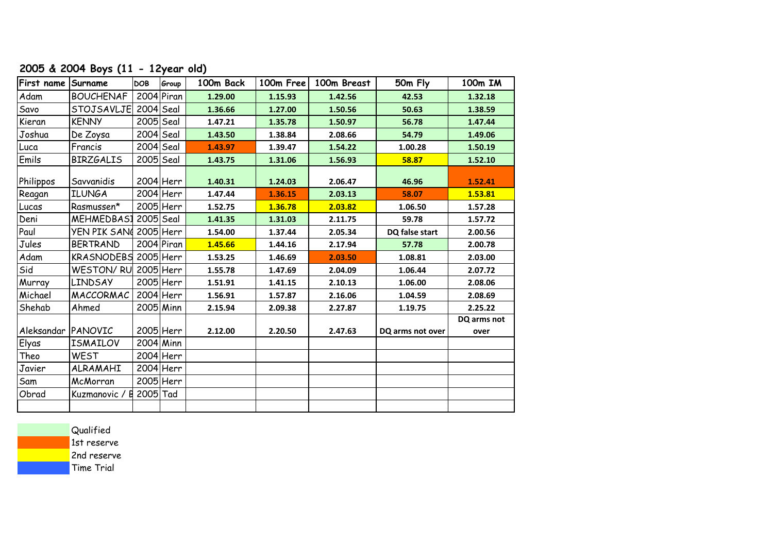### **2005 & 2004 Boys (11 - 12year old)**

| First name Surname |                       | <b>DOB</b>  | Group        | 100m Back | 100m Free | 100m Breast | 50m Fly          | 100m IM     |
|--------------------|-----------------------|-------------|--------------|-----------|-----------|-------------|------------------|-------------|
| Adam               | <b>BOUCHENAF</b>      |             | $2004$ Piran | 1.29.00   | 1.15.93   | 1.42.56     | 42.53            | 1.32.18     |
| Savo               | <b>STOJSAVLJE</b>     |             | $2004$ Seal  | 1.36.66   | 1.27.00   | 1.50.56     | 50.63            | 1.38.59     |
| Kieran             | <b>KENNY</b>          |             | $2005$ Seal  | 1.47.21   | 1.35.78   | 1.50.97     | 56.78            | 1.47.44     |
| Joshua             | De Zoysa              |             | $2004$ Seal  | 1.43.50   | 1.38.84   | 2.08.66     | 54.79            | 1.49.06     |
| Luca               | Francis               |             | 2004 Seal    | 1.43.97   | 1.39.47   | 1.54.22     | 1.00.28          | 1.50.19     |
| Emils              | <b>BIRZGALIS</b>      |             | $2005$ Seal  | 1.43.75   | 1.31.06   | 1.56.93     | 58.87            | 1.52.10     |
| Philippos          | Savvanidis            |             | $2004$ Herr  | 1.40.31   | 1.24.03   | 2.06.47     | 46.96            | 1.52.41     |
| Reagan             | <b>ILUNGA</b>         |             | 2004 Herr    | 1.47.44   | 1.36.15   | 2.03.13     | 58.07            | 1.53.81     |
| Lucas              | Rasmussen*            |             | $2005$ Herr  | 1.52.75   | 1.36.78   | 2.03.82     | 1.06.50          | 1.57.28     |
| Deni               | MEHMEDBASI            | $2005$ Seal |              | 1.41.35   | 1.31.03   | 2.11.75     | 59.78            | 1.57.72     |
| Paul               | YEN PIK SAN(2005 Herr |             |              | 1.54.00   | 1.37.44   | 2.05.34     | DQ false start   | 2.00.56     |
| Jules              | <b>BERTRAND</b>       |             | $2004$ Piran | 1.45.66   | 1.44.16   | 2.17.94     | 57.78            | 2.00.78     |
| Adam               | KRASNODEBS 2005 Herr  |             |              | 1.53.25   | 1.46.69   | 2.03.50     | 1.08.81          | 2.03.00     |
| Sid                | WESTON/RU             |             | $2005$ Herr  | 1.55.78   | 1.47.69   | 2.04.09     | 1.06.44          | 2.07.72     |
| Murray             | <b>LINDSAY</b>        |             | $2005$ Herr  | 1.51.91   | 1.41.15   | 2.10.13     | 1.06.00          | 2.08.06     |
| Michael            | <b>MACCORMAC</b>      |             | $2004$ Herr  | 1.56.91   | 1.57.87   | 2.16.06     | 1.04.59          | 2.08.69     |
| Shehab             | Ahmed                 |             | $2005$ Minn  | 2.15.94   | 2.09.38   | 2.27.87     | 1.19.75          | 2.25.22     |
|                    |                       |             |              |           |           |             |                  | DQ arms not |
| Aleksandar PANOVIC |                       |             | 2005 Herr    | 2.12.00   | 2.20.50   | 2.47.63     | DQ arms not over | over        |
| Elyas              | <b>ISMAILOV</b>       |             | $2004$ Minn  |           |           |             |                  |             |
| Theo               | <b>WEST</b>           |             | 2004 Herr    |           |           |             |                  |             |
| Javier             | ALRAMAHI              |             | 2004 Herr    |           |           |             |                  |             |
| Sam                | McMorran              |             | 2005 Herr    |           |           |             |                  |             |
| Obrad              | Kuzmanovic / B        | 2005 Tad    |              |           |           |             |                  |             |
|                    |                       |             |              |           |           |             |                  |             |

**Qualified** 

1st reserve

2nd reserve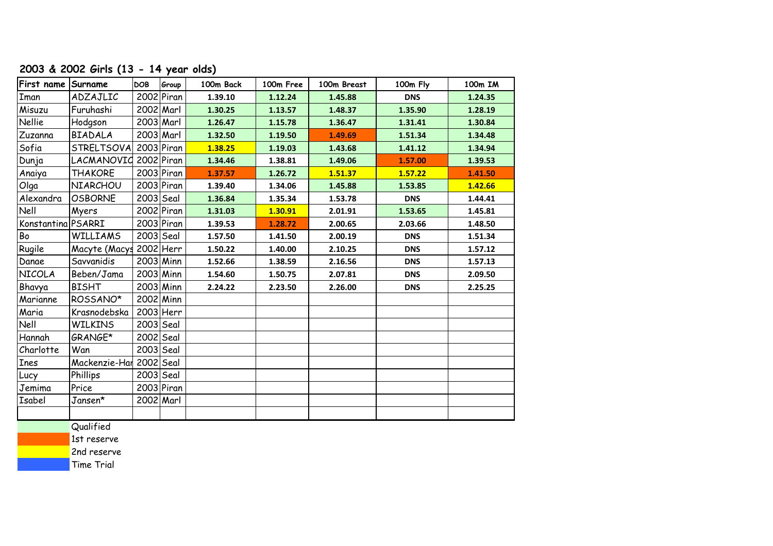## **2003 & 2002 Girls (13 - 14 year olds)**

| First name Surname |                         | <b>DOB</b> | Group        | 100m Back | 100m Free | 100m Breast | 100m Fly   | 100m IM |
|--------------------|-------------------------|------------|--------------|-----------|-----------|-------------|------------|---------|
| Iman               | ADZAJLIC                |            | $2002$ Piran | 1.39.10   | 1.12.24   | 1.45.88     | <b>DNS</b> | 1.24.35 |
| Misuzu             | Furuhashi               |            | 2002 Marl    | 1.30.25   | 1.13.57   | 1.48.37     | 1.35.90    | 1.28.19 |
| Nellie             | Hodgson                 |            | $2003$ Marl  | 1.26.47   | 1.15.78   | 1.36.47     | 1.31.41    | 1.30.84 |
| Zuzanna            | <b>BIADALA</b>          |            | 2003 Marl    | 1.32.50   | 1.19.50   | 1.49.69     | 1.51.34    | 1.34.48 |
| Sofia              | STRELTSOVA              |            | $2003$ Piran | 1.38.25   | 1.19.03   | 1.43.68     | 1.41.12    | 1.34.94 |
| Dunja              | LACMANOVIC 2002 Piran   |            |              | 1.34.46   | 1.38.81   | 1.49.06     | 1.57.00    | 1.39.53 |
| Anaiya             | <b>THAKORE</b>          |            | $2003$ Piran | 1.37.57   | 1.26.72   | 1.51.37     | 1.57.22    | 1.41.50 |
| Olga               | <b>NIARCHOU</b>         |            | $2003$ Piran | 1.39.40   | 1.34.06   | 1.45.88     | 1.53.85    | 1.42.66 |
| Alexandra          | <b>OSBORNE</b>          |            | $2003$ Seal  | 1.36.84   | 1.35.34   | 1.53.78     | <b>DNS</b> | 1.44.41 |
| Nell               | Myers                   |            | $2002$ Piran | 1.31.03   | 1.30.91   | 2.01.91     | 1.53.65    | 1.45.81 |
| Konstantina PSARRI |                         |            | $2003$ Piran | 1.39.53   | 1.28.72   | 2.00.65     | 2.03.66    | 1.48.50 |
| Bo                 | <b>WILLIAMS</b>         |            | $2003$ Seal  | 1.57.50   | 1.41.50   | 2.00.19     | <b>DNS</b> | 1.51.34 |
| Rugile             | Macyte (Macys           |            | $2002$ Herr  | 1.50.22   | 1.40.00   | 2.10.25     | <b>DNS</b> | 1.57.12 |
| Danae              | Savvanidis              |            | $2003$ Minn  | 1.52.66   | 1.38.59   | 2.16.56     | <b>DNS</b> | 1.57.13 |
| NICOLA             | Beben/Jama              |            | $2003$ Minn  | 1.54.60   | 1.50.75   | 2.07.81     | <b>DNS</b> | 2.09.50 |
| Bhavya             | <b>BISHT</b>            |            | $2003$ Minn  | 2.24.22   | 2.23.50   | 2.26.00     | <b>DNS</b> | 2.25.25 |
| Marianne           | ROSSANO*                |            | $2002$ Minn  |           |           |             |            |         |
| Maria              | Krasnodebska            |            | $2003$ Herr  |           |           |             |            |         |
| Nell               | <b>WILKINS</b>          |            | $2003$ Seal  |           |           |             |            |         |
| Hannah             | GRANGE*                 |            | 2002 Seal    |           |           |             |            |         |
| Charlotte          | Wan                     |            | $2003$ Seal  |           |           |             |            |         |
| <b>Ines</b>        | Mackenzie-Har 2002 Seal |            |              |           |           |             |            |         |
| Lucy               | Phillips                |            | $2003$ Seal  |           |           |             |            |         |
| Jemima             | Price                   |            | $2003$ Piran |           |           |             |            |         |
| Isabel             | Jansen*                 |            | 2002 Marl    |           |           |             |            |         |
|                    |                         |            |              |           |           |             |            |         |
|                    | $\sim$ 1.00 $\pm$       |            |              |           |           |             |            |         |

**Qualified** 

1st reserve

2nd reserve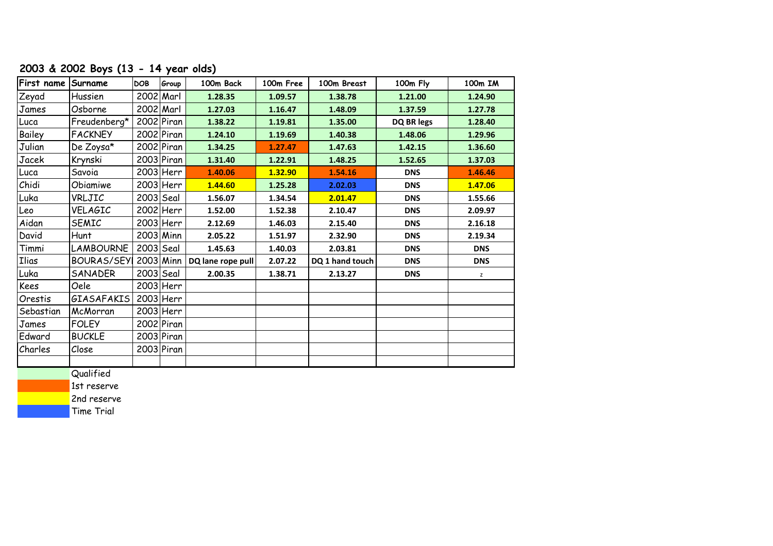## **2003 & 2002 Boys (13 - 14 year olds)**

| First name Surname |                   | <b>DOB</b>  | Group        | 100m Back         | 100m Free | 100m Breast     | 100m Fly   | 100m IM    |
|--------------------|-------------------|-------------|--------------|-------------------|-----------|-----------------|------------|------------|
| Zeyad              | Hussien           | $2002$ Marl |              | 1.28.35           | 1.09.57   | 1.38.78         | 1.21.00    | 1.24.90    |
| James              | Osborne           |             | $2002$ Marl  | 1.27.03           | 1.16.47   | 1.48.09         | 1.37.59    | 1.27.78    |
| Luca               | Freudenberg*      |             | $2002$ Piran | 1.38.22           | 1.19.81   | 1.35.00         | DQ BR legs | 1.28.40    |
| Bailey             | <b>FACKNEY</b>    |             | $2002$ Piran | 1.24.10           | 1.19.69   | 1.40.38         | 1.48.06    | 1.29.96    |
| Julian             | De Zoysa*         |             | $2002$ Piran | 1.34.25           | 1.27.47   | 1.47.63         | 1.42.15    | 1.36.60    |
| Jacek              | Krynski           |             | $2003$ Piran | 1.31.40           | 1.22.91   | 1.48.25         | 1.52.65    | 1.37.03    |
| Luca               | Savoia            |             | $2003$ Herr  | 1.40.06           | 1.32.90   | 1.54.16         | <b>DNS</b> | 1.46.46    |
| Chidi              | Obiamiwe          |             | $2003$ Herr  | 1.44.60           | 1.25.28   | 2.02.03         | <b>DNS</b> | 1.47.06    |
| Luka               | VRLJIC            |             | $2003$ Seal  | 1.56.07           | 1.34.54   | 2.01.47         | <b>DNS</b> | 1.55.66    |
| Leo                | VELAGIC           |             | 2002 Herr    | 1.52.00           | 1.52.38   | 2.10.47         | <b>DNS</b> | 2.09.97    |
| Aidan              | <b>SEMIC</b>      |             | 2003 Herr    | 2.12.69           | 1.46.03   | 2.15.40         | <b>DNS</b> | 2.16.18    |
| David              | Hunt              |             | $2003$ Minn  | 2.05.22           | 1.51.97   | 2.32.90         | <b>DNS</b> | 2.19.34    |
| Timmi              | <b>LAMBOURNE</b>  | $2003$ Seal |              | 1.45.63           | 1.40.03   | 2.03.81         | <b>DNS</b> | <b>DNS</b> |
| <b>Ilias</b>       | <b>BOURAS/SEY</b> |             | $2003$ Minn  | DQ lane rope pull | 2.07.22   | DQ 1 hand touch | <b>DNS</b> | <b>DNS</b> |
| Luka               | SANADER           |             | $2003$ Seal  | 2.00.35           | 1.38.71   | 2.13.27         | <b>DNS</b> | z          |
| Kees               | Oele              |             | 2003 Herr    |                   |           |                 |            |            |
| Orestis            | <b>GIASAFAKIS</b> |             | $2003$ Herr  |                   |           |                 |            |            |
| Sebastian          | McMorran          |             | $2003$ Herr  |                   |           |                 |            |            |
| James              | <b>FOLEY</b>      |             | $2002$ Piran |                   |           |                 |            |            |
| Edward             | <b>BUCKLE</b>     |             | $2003$ Piran |                   |           |                 |            |            |
| Charles            | Close             |             | $2003$ Piran |                   |           |                 |            |            |
|                    |                   |             |              |                   |           |                 |            |            |

**Qualified** 

1st reserve

2nd reserve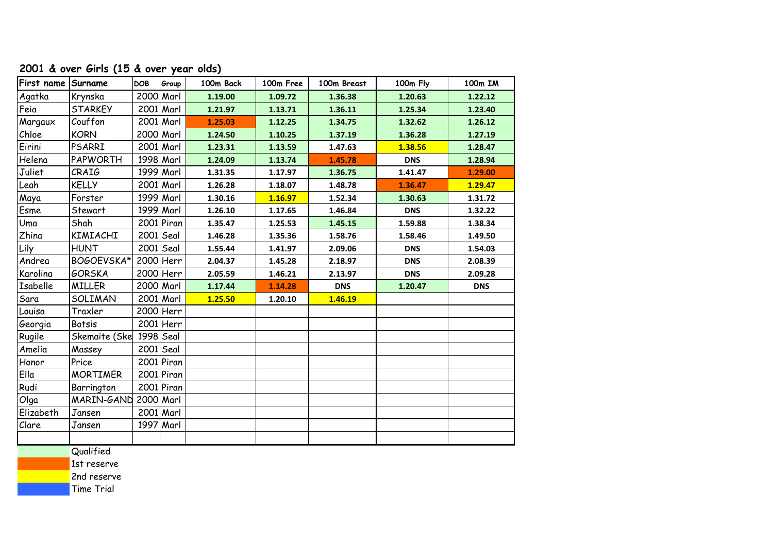| First name Surname |                         | <b>DOB</b> | Group        | 100m Back | 100m Free | 100m Breast | 100m Fly   | 100m IM    |
|--------------------|-------------------------|------------|--------------|-----------|-----------|-------------|------------|------------|
| Agatka             | Krynska                 |            | $2000$ Marl  | 1.19.00   | 1.09.72   | 1.36.38     | 1.20.63    | 1.22.12    |
| Feia               | <b>STARKEY</b>          |            | $2001$ Marl  | 1.21.97   | 1.13.71   | 1.36.11     | 1.25.34    | 1.23.40    |
| Margaux            | Couffon                 |            | $2001$ Marl  | 1.25.03   | 1.12.25   | 1.34.75     | 1.32.62    | 1.26.12    |
| Chloe              | <b>KORN</b>             |            | 2000 Marl    | 1.24.50   | 1.10.25   | 1.37.19     | 1.36.28    | 1.27.19    |
| Eirini             | <b>PSARRI</b>           |            | $2001$ Marl  | 1.23.31   | 1.13.59   | 1.47.63     | 1.38.56    | 1.28.47    |
| Helena             | PAPWORTH                |            | 1998 Marl    | 1.24.09   | 1.13.74   | 1.45.78     | <b>DNS</b> | 1.28.94    |
| Juliet             | CRAIG                   |            | 1999 Marl    | 1.31.35   | 1.17.97   | 1.36.75     | 1.41.47    | 1.29.00    |
| Leah               | <b>KELLY</b>            |            | $2001$ Marl  | 1.26.28   | 1.18.07   | 1.48.78     | 1.36.47    | 1.29.47    |
| Maya               | Forster                 |            | 1999 Marl    | 1.30.16   | 1.16.97   | 1.52.34     | 1.30.63    | 1.31.72    |
| Esme               | Stewart                 |            | 1999 Marl    | 1.26.10   | 1.17.65   | 1.46.84     | <b>DNS</b> | 1.32.22    |
| Uma                | Shah                    |            | 2001 Piran   | 1.35.47   | 1.25.53   | 1.45.15     | 1.59.88    | 1.38.34    |
| <b>Zhina</b>       | KIMIACHI                |            | $2001$ Seal  | 1.46.28   | 1.35.36   | 1.58.76     | 1.58.46    | 1.49.50    |
| Lily               | <b>HUNT</b>             |            | $2001$ Seal  | 1.55.44   | 1.41.97   | 2.09.06     | <b>DNS</b> | 1.54.03    |
| Andrea             | BOGOEVSKA*              |            | $2000$ Herr  | 2.04.37   | 1.45.28   | 2.18.97     | <b>DNS</b> | 2.08.39    |
| Karolina           | <b>GORSKA</b>           |            | $2000$ Herr  | 2.05.59   | 1.46.21   | 2.13.97     | <b>DNS</b> | 2.09.28    |
| Isabelle           | <b>MILLER</b>           |            | 2000 Marl    | 1.17.44   | 1.14.28   | <b>DNS</b>  | 1.20.47    | <b>DNS</b> |
| Sara               | SOLIMAN                 |            | $2001$ Marl  | 1.25.50   | 1.20.10   | 1.46.19     |            |            |
| Louisa             | Traxler                 |            | $2000$ Herr  |           |           |             |            |            |
| Georgia            | <b>Botsis</b>           |            | $2001$ Herr  |           |           |             |            |            |
| Rugile             | Skemaite (Ske 1998 Seal |            |              |           |           |             |            |            |
| Amelia             | Massey                  |            | $2001$ Seal  |           |           |             |            |            |
| Honor              | Price                   |            | $2001$ Piran |           |           |             |            |            |
| Ella               | <b>MORTIMER</b>         |            | $2001$ Piran |           |           |             |            |            |
| Rudi               | Barrington              |            | $2001$ Piran |           |           |             |            |            |
| Olga               | MARIN-GAND 2000 Marl    |            |              |           |           |             |            |            |
| Elizabeth          | Jansen                  |            | $2001$ Marl  |           |           |             |            |            |
| Clare              | Jansen                  |            | 1997 Marl    |           |           |             |            |            |
|                    |                         |            |              |           |           |             |            |            |
|                    |                         |            |              |           |           |             |            |            |

#### **2001 & over Girls (15 & over year olds)**

**Qualified** 

1st reserve

2nd reserve